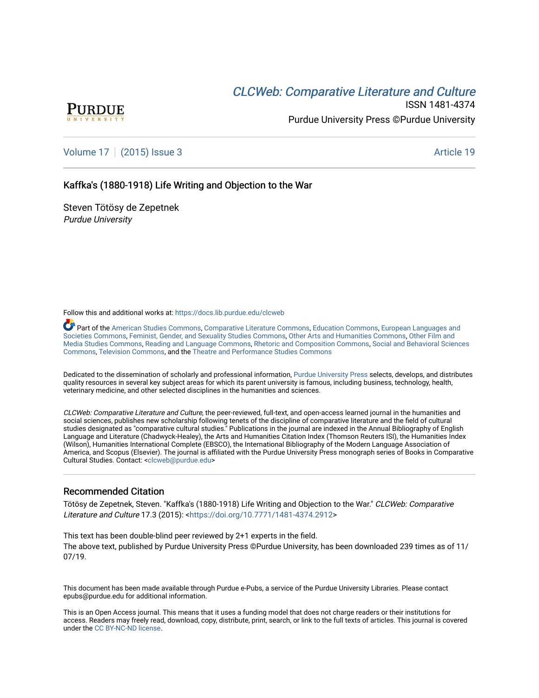# CLCW[eb: Comparative Liter](https://docs.lib.purdue.edu/clcweb)ature and Culture



ISSN 1481-4374 Purdue University Press ©Purdue University

[Volume 17](https://docs.lib.purdue.edu/clcweb/vol17) | [\(2015\) Issue 3](https://docs.lib.purdue.edu/clcweb/vol17/iss3) Article 19

## Kaffka's (1880-1918) Life Writing and Objection to the War

Steven Tötösy de Zepetnek Purdue University

Follow this and additional works at: [https://docs.lib.purdue.edu/clcweb](https://docs.lib.purdue.edu/clcweb?utm_source=docs.lib.purdue.edu%2Fclcweb%2Fvol17%2Fiss3%2F19&utm_medium=PDF&utm_campaign=PDFCoverPages)

Part of the [American Studies Commons](http://network.bepress.com/hgg/discipline/439?utm_source=docs.lib.purdue.edu%2Fclcweb%2Fvol17%2Fiss3%2F19&utm_medium=PDF&utm_campaign=PDFCoverPages), [Comparative Literature Commons,](http://network.bepress.com/hgg/discipline/454?utm_source=docs.lib.purdue.edu%2Fclcweb%2Fvol17%2Fiss3%2F19&utm_medium=PDF&utm_campaign=PDFCoverPages) [Education Commons,](http://network.bepress.com/hgg/discipline/784?utm_source=docs.lib.purdue.edu%2Fclcweb%2Fvol17%2Fiss3%2F19&utm_medium=PDF&utm_campaign=PDFCoverPages) [European Languages and](http://network.bepress.com/hgg/discipline/482?utm_source=docs.lib.purdue.edu%2Fclcweb%2Fvol17%2Fiss3%2F19&utm_medium=PDF&utm_campaign=PDFCoverPages) [Societies Commons](http://network.bepress.com/hgg/discipline/482?utm_source=docs.lib.purdue.edu%2Fclcweb%2Fvol17%2Fiss3%2F19&utm_medium=PDF&utm_campaign=PDFCoverPages), [Feminist, Gender, and Sexuality Studies Commons,](http://network.bepress.com/hgg/discipline/559?utm_source=docs.lib.purdue.edu%2Fclcweb%2Fvol17%2Fiss3%2F19&utm_medium=PDF&utm_campaign=PDFCoverPages) [Other Arts and Humanities Commons](http://network.bepress.com/hgg/discipline/577?utm_source=docs.lib.purdue.edu%2Fclcweb%2Fvol17%2Fiss3%2F19&utm_medium=PDF&utm_campaign=PDFCoverPages), [Other Film and](http://network.bepress.com/hgg/discipline/565?utm_source=docs.lib.purdue.edu%2Fclcweb%2Fvol17%2Fiss3%2F19&utm_medium=PDF&utm_campaign=PDFCoverPages)  [Media Studies Commons](http://network.bepress.com/hgg/discipline/565?utm_source=docs.lib.purdue.edu%2Fclcweb%2Fvol17%2Fiss3%2F19&utm_medium=PDF&utm_campaign=PDFCoverPages), [Reading and Language Commons](http://network.bepress.com/hgg/discipline/1037?utm_source=docs.lib.purdue.edu%2Fclcweb%2Fvol17%2Fiss3%2F19&utm_medium=PDF&utm_campaign=PDFCoverPages), [Rhetoric and Composition Commons,](http://network.bepress.com/hgg/discipline/573?utm_source=docs.lib.purdue.edu%2Fclcweb%2Fvol17%2Fiss3%2F19&utm_medium=PDF&utm_campaign=PDFCoverPages) [Social and Behavioral Sciences](http://network.bepress.com/hgg/discipline/316?utm_source=docs.lib.purdue.edu%2Fclcweb%2Fvol17%2Fiss3%2F19&utm_medium=PDF&utm_campaign=PDFCoverPages) [Commons,](http://network.bepress.com/hgg/discipline/316?utm_source=docs.lib.purdue.edu%2Fclcweb%2Fvol17%2Fiss3%2F19&utm_medium=PDF&utm_campaign=PDFCoverPages) [Television Commons,](http://network.bepress.com/hgg/discipline/1143?utm_source=docs.lib.purdue.edu%2Fclcweb%2Fvol17%2Fiss3%2F19&utm_medium=PDF&utm_campaign=PDFCoverPages) and the [Theatre and Performance Studies Commons](http://network.bepress.com/hgg/discipline/552?utm_source=docs.lib.purdue.edu%2Fclcweb%2Fvol17%2Fiss3%2F19&utm_medium=PDF&utm_campaign=PDFCoverPages)

Dedicated to the dissemination of scholarly and professional information, [Purdue University Press](http://www.thepress.purdue.edu/) selects, develops, and distributes quality resources in several key subject areas for which its parent university is famous, including business, technology, health, veterinary medicine, and other selected disciplines in the humanities and sciences.

CLCWeb: Comparative Literature and Culture, the peer-reviewed, full-text, and open-access learned journal in the humanities and social sciences, publishes new scholarship following tenets of the discipline of comparative literature and the field of cultural studies designated as "comparative cultural studies." Publications in the journal are indexed in the Annual Bibliography of English Language and Literature (Chadwyck-Healey), the Arts and Humanities Citation Index (Thomson Reuters ISI), the Humanities Index (Wilson), Humanities International Complete (EBSCO), the International Bibliography of the Modern Language Association of America, and Scopus (Elsevier). The journal is affiliated with the Purdue University Press monograph series of Books in Comparative Cultural Studies. Contact: [<clcweb@purdue.edu](mailto:clcweb@purdue.edu)>

#### Recommended Citation

Tötösy de Zepetnek, Steven. "Kaffka's (1880-1918) Life Writing and Objection to the War." CLCWeb: Comparative Literature and Culture 17.3 (2015): <<https://doi.org/10.7771/1481-4374.2912>>

This text has been double-blind peer reviewed by 2+1 experts in the field. The above text, published by Purdue University Press ©Purdue University, has been downloaded 239 times as of 11/ 07/19.

This document has been made available through Purdue e-Pubs, a service of the Purdue University Libraries. Please contact epubs@purdue.edu for additional information.

This is an Open Access journal. This means that it uses a funding model that does not charge readers or their institutions for access. Readers may freely read, download, copy, distribute, print, search, or link to the full texts of articles. This journal is covered under the [CC BY-NC-ND license.](https://creativecommons.org/licenses/by-nc-nd/4.0/)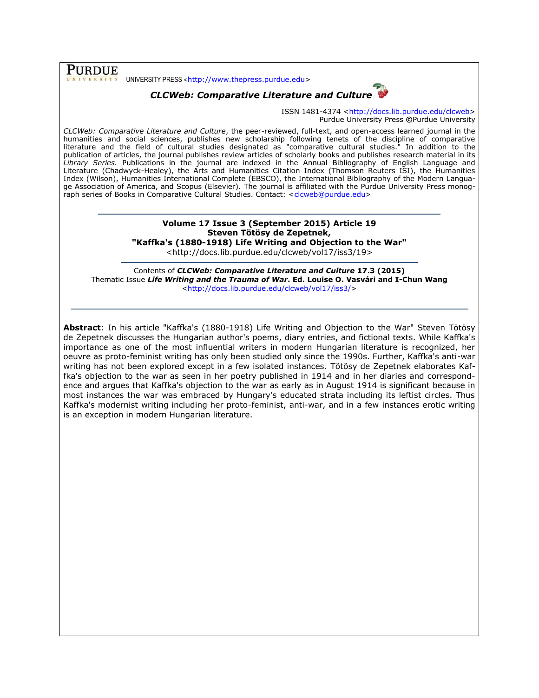UNIVERSITY PRESS <[http://www.thepress.purdue.edu>](http://www.thepress.purdue.edu/)

**PURDUE** 

## *CLCWeb: Comparative Literature and Culture*



ISSN 1481-4374 [<http://docs.lib.purdue.edu/clcweb>](http://docs.lib.purdue.edu/clcweb) Purdue University Press **©**Purdue University

*CLCWeb: Comparative Literature and Culture*, the peer-reviewed, full-text, and open-access learned journal in the humanities and social sciences, publishes new scholarship following tenets of the discipline of comparative literature and the field of cultural studies designated as "comparative cultural studies." In addition to the publication of articles, the journal publishes review articles of scholarly books and publishes research material in its *Library Series.* Publications in the journal are indexed in the Annual Bibliography of English Language and Literature (Chadwyck-Healey), the Arts and Humanities Citation Index (Thomson Reuters ISI), the Humanities Index (Wilson), Humanities International Complete (EBSCO), the International Bibliography of the Modern Language Association of America, and Scopus (Elsevier). The journal is affiliated with the Purdue University Press monog-raph series of Books in Comparative Cultural Studies. Contact: [<clcweb@purdue.edu>](mailto:clcweb@purdue.edu)

> **Volume 17 Issue 3 (September 2015) Article 19 Steven Tötösy de Zepetnek, "Kaffka's (1880-1918) Life Writing and Objection to the War"** <http://docs.lib.purdue.edu/clcweb/vol17/iss3/19>

Contents of *CLCWeb: Comparative Literature and Culture* **17.3 (2015)** Thematic Issue *Life Writing and the Trauma of War***. Ed. Louise O. Vasvári and I-Chun Wang** [<http://docs.lib.purdue.edu/clcweb/vol17/iss3/>](http://docs.lib.purdue.edu/clcweb/vol17/iss3/)

**Abstract**: In his article "Kaffka's (1880-1918) Life Writing and Objection to the War" Steven Tötösy de Zepetnek discusses the Hungarian author's poems, diary entries, and fictional texts. While Kaffka's importance as one of the most influential writers in modern Hungarian literature is recognized, her oeuvre as proto-feminist writing has only been studied only since the 1990s. Further, Kaffka's anti-war writing has not been explored except in a few isolated instances. Tötösy de Zepetnek elaborates Kaffka's objection to the war as seen in her poetry published in 1914 and in her diaries and correspondence and argues that Kaffka's objection to the war as early as in August 1914 is significant because in most instances the war was embraced by Hungary's educated strata including its leftist circles. Thus Kaffka's modernist writing including her proto-feminist, anti-war, and in a few instances erotic writing is an exception in modern Hungarian literature.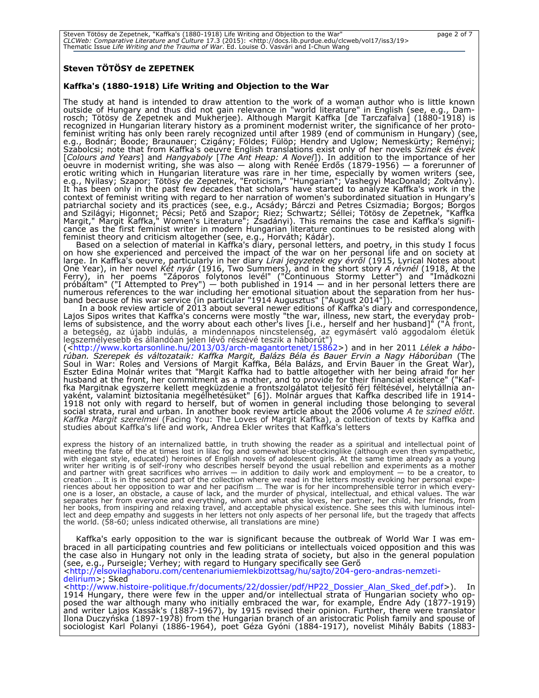## **Steven TÖTÖSY de ZEPETNEK**

## **Kaffka's (1880-1918) Life Writing and Objection to the War**

The study at hand is intended to draw attention to the work of a woman author who is little known outside of Hungary and thus did not gain relevance in "world literature" in English (see, e.g., Damrosch; Tötösy de Zepetnek and Mukherjee). Although Margit Kaffka [de Tarczafalva] (1880-1918) is recognized in Hungarian literary history as a prominent modernist writer, the significance of her protofeminist writing has only been rarely recognized until after 1989 (end of communism in Hungary) (see, e.g., Bodnár; Boode; Braunauer; Czigány; Földes; Fülöp; Hendry and Uglow; Nemeskürty; Reményi; Szabolcsi; note that from Kaffka's oeuvre English translations exist only of her novels *Színek és évek* [*Colours and Years*] and *Hangyaboly* [*The Ant Heap: A Novel*]). In addition to the importance of her oeuvre in modernist writing, she was also — along with Renée Erdős (1879-1956) — a forerunner of erotic writing which in Hungarian literature was rare in her time, especially by women writers (see, e.g., Nyilasy; Szapor; Tötösy de Zepetnek, "Eroticism," "Hungarian"; Vashegyi MacDonald; Zoltvány). It has been only in the past few decades that scholars have started to analyze Kaffka's work in the context of feminist writing with regard to her narration of women's subordinated situation in Hungary's patriarchal society and its practices (see, e.g., Acsády; Bárczi and Petres Csizmadia; Borgos; Borgos and Szilágyi; Higonnet; Pécsi; Pető and Szapor; Riez; Schwartz; Séllei; Tötösy de Zepetnek, "Kaffka Margit," Margit Kaffka," Women's Literature"; Zsadányi). This remains the case and Kaffka's significance as the first feminist writer in modern Hungarian literature continues to be resisted along with feminist theory and criticism altogether (see, e.g., Horváth; Kádár).

Based on a selection of material in Kaffka's diary, personal letters, and poetry, in this study I focus on how she experienced and perceived the impact of the war on her personal life and on society at large. In Kaffka's oeuvre, particularly in her diary *Lírai jegyzetek egy évről* (1915, Lyrical Notes about One Year), in her novel *Két nyár* (1916, Two Summers), and in the short story *A révnél* (1918, At the Ferry), in her poems "Záporos folytonos levél" ("Continuous Stormy Letter") and "Imádkozni próbáltam" ("I Attempted to Prey") — both published in 1914 — and in her personal letters there are numerous references to the war including her emotional situation about the separation from her husband because of his war service (in particular "1914 Augusztus" ["August 2014"]).

In a book review article of 2013 about several newer editions of Kaffka's diary and correspondence, Lajos Sipos writes that Kaffka's concerns were mostly "the war, illness, new start, the everyday problems of subsistence, and the worry about each other's lives [i.e., herself and her husband]" ("A front, a betegség, az újabb indulás, a mindennapos nincstelenség, az egymásért való aggodalom életük legszemélyesebb és állandóan jelen lévő részévé teszik a háborút")

([<http://www.kortarsonline.hu/2013/03/arch-magantortenet/15862>](http://www.kortarsonline.hu/2013/03/arch-magantortenet/15862)) and in her 2011 *Lélek a háborúban. Szerepek és változataik: Kaffka Margit, Balázs Béla és Bauer Ervin a Nagy Háborúban* (The Soul in War: Roles and Versions of Margit Kaffka, Béla Balázs, and Ervin Bauer in the Great War), Eszter Edina Molnár writes that "Margit Kaffka had to battle altogether with her being afraid for her husband at the front, her commitment as a mother, and to provide for their financial existence" ("Kaffka Margitnak egyszerre kellett megküzdenie a frontszolgálatot teljesítő férj féltésével, helytállnia anyaként, valamint biztosítania megélhetésüket" [6]). Molnár argues that Kaffka described life in 1914- 1918 not only with regard to herself, but of women in general including those belonging to several social strata, rural and urban. In another book review article about the 2006 volume *A te színed előtt. Kaffka Margit szerelmei* (Facing You: The Loves of Margit Kaffka), a collection of texts by Kaffka and studies about Kaffka's life and work, Andrea Ekler writes that Kaffka's letters

express the history of an internalized battle, in truth showing the reader as a spiritual and intellectual point of meeting the fate of the at times lost in lilac fog and somewhat blue-stockinglike (although even then sympathetic, with elegant style, educated) heroines of English novels of adolescent girls. At the same time already as a young<br>writer her writing is of self-irony who describes herself beyond the usual rebellion and experiments as a mo and partner with great sacrifices who arrives — in addition to daily work and employment — to be a creator, to creation ... It is in the second part of the collection where we read in the letters mostly evoking her personal expe-<br>riences about her opposition to war and her pacifism ... The war is for her incomprehensible terror in one is a loser, an obstacle, a cause of lack, and the murder of physical, intellectual, and ethical values. The war separates her from everyone and everything, whom and what she loves, her partner, her child, her friends, from<br>her books, from inspiring and relaxing travel, and acceptable physical existence. She sees this with luminous i lect and deep empathy and suggests in her letters not only aspects of her personal life, but the tragedy that affects the world. (58-60; unless indicated otherwise, all translations are mine)

Kaffka's early opposition to the war is significant because the outbreak of World War I was embraced in all participating countries and few politicians or intellectuals voiced opposition and this was the case also in Hungary not only in the leading strata of society, but also in the general population (see, e.g., Purseigle; Verhey; with regard to Hungary specifically see Gerő [<http://elsovilaghaboru.com/centenariumiemlekbizottsag/hu/sajto/204-gero-andras-nemzeti](http://elsovilaghaboru.com/centenariumiemlekbizottsag/hu/sajto/204-gero-andras-nemzeti-delirium)[delirium>](http://elsovilaghaboru.com/centenariumiemlekbizottsag/hu/sajto/204-gero-andras-nemzeti-delirium); Sked

[<http://www.histoire-politique.fr/documents/22/dossier/pdf/HP22\\_Dossier\\_Alan\\_Sked\\_def.pdf>](http://www.histoire-politique.fr/documents/22/dossier/pdf/HP22_Dossier_Alan_Sked_def.pdf)). In 1914 Hungary, there were few in the upper and/or intellectual strata of Hungarian society who opposed the war although many who initially embraced the war, for example, Endre Ady (1877-1919) and writer Lajos Kassák's (1887-1967), by 1915 revised their opinion. Further, there were translator Ilona Duczyńska (1897-1978) from the Hungarian branch of an aristocratic Polish family and spouse of sociologist Karl Polanyi (1886-1964), poet Géza Gyóni (1884-1917), novelist Mihály Babits (1883-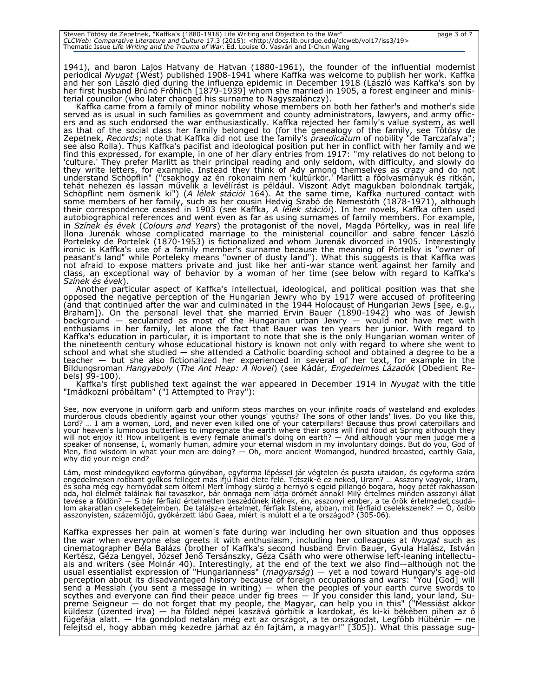| Steven Tötösy de Zepetnek, "Kaffka's (1880-1918) Life Writing and Objection to the War"                                         | page 3 of 7 |
|---------------------------------------------------------------------------------------------------------------------------------|-------------|
| CLCWeb: Comparative Literature and Culture 17.3 (2015): <http: 19="" clcweb="" docs.lib.purdue.edu="" iss3="" vol17=""></http:> |             |
| Thematic Issue <i>Life Writing and the Trauma of War</i> . Ed. Louise O. Vasvári and I-Chun Wang                                |             |

1941), and baron Lajos Hatvany de Hatvan (1880-1961), the founder of the influential modernist periodical *Nyugat* (West) published 1908-1941 where Kaffka was welcome to publish her work. Kaffka and her son László died during the influenza epidemic in December 1918 (László was Kaffka's son by her first husband Brúnó Frőhlich [1879-1939] whom she married in 1905, a forest engineer and ministerial councilor (who later changed his surname to Nagyszalánczy).

Kaffka came from a family of minor nobility whose members on both her father's and mother's side served as is usual in such families as government and county administrators, lawyers, and army officers and as such endorsed the war enthusiastically. Kaffka rejected her family's value system, as well as that of the social class her family belonged to (for the genealogy of the family, see Tötösy de Zepetnek, *Records*; note that Kaffka did not use the family's *praedicatum* of nobility "de Tarczafalva"; see also Rolla). Thus Kaffka's pacifist and ideological position put her in conflict with her family and we find this expressed, for example, in one of her diary entries from 1917: "my relatives do not belong to 'culture.' They prefer Marlitt as their principal reading and only seldom, with difficulty, and slowly do they write letters, for example. Instead they think of Ady among themselves as crazy and do not understand Schöpflin" ("csakhogy az én rokonaim nem 'kultúrkör.' Marlitt a főolvasmányuk és ritkán, tehát nehezen és lassan művelik a levélírást is például. Viszont Adyt magukban bolondnak tartják, Schöpflint nem ösmerik ki") (*A lélek stációi* 164). At the same time, Kaffka nurtured contact with some members of her family, such as her cousin Hedvig Szabó de Nemestóth (1878-1971), although their correspondence ceased in 1903 (see Kaffka, *A lélek stációi*). In her novels, Kaffka often used autobiographical references and went even as far as using surnames of family members. For example, in *Színek és évek* (*Colours and Years*) the protagonist of the novel, Magda Pórtelky, was in real life Ilona Jurenák whose complicated marriage to the ministerial councillor and sabre fencer László Porteleky de Portelek (1870-1953) is fictionalized and whom Jurenák divorced in 1905. Interestingly ironic is Kaffka's use of a family member's surname because the meaning of Pórtelky is "owner of peasant's land" while Porteleky means "owner of dusty land"). What this suggests is that Kaffka was not afraid to expose matters private and just like her anti-war stance went against her family and class, an exceptional way of behavior by a woman of her time (see below with regard to Kaffka's *Színek és évek*).

Another particular aspect of Kaffka's intellectual, ideological, and political position was that she opposed the negative perception of the Hungarian Jewry who by 1917 were accused of profiteering (and that continued after the war and culminated in the 1944 Holocaust of Hungarian Jews [see, e.g., Braham]). On the personal level that she married Ervin Bauer (1890-1942) who was of Jewish background — secularized as most of the Hungarian urban Jewry — would not have met with enthusiams in her family, let alone the fact that Bauer was ten years her junior. With regard to Kaffka's education in particular, it is important to note that she is the only Hungarian woman writer of the nineteenth century whose educational history is known not only with regard to where she went to school and what she studied — she attended a Catholic boarding school and obtained a degree to be a teacher — but she also fictionalized her experienced in several of her text, for example in the Bildungsroman *Hangyaboly* (*The Ant Heap: A Novel*) (see Kádár, *Engedelmes Lázadók* [Obedient Rebels] 99-100).

Kaffka's first published text against the war appeared in December 1914 in *Nyugat* with the title "Imádkozni próbáltam" ("I Attempted to Pray"):

See, now everyone in uniform garb and uniform steps marches on your infinite roads of wasteland and explodes murderous clouds obediently against your other youngs' youths? The sons of other lands' lives. Do you like this,<br>Lord? ... I am a woman, Lord, and never even killed one of your caterpillars! Because thus prowl caterpillars your heaven's luminous butterflies to impregnate the earth where their sons will find food at Spring although they will not enjoy it! How intelligent is every female animal's doing on earth? — And although your men judge me a speaker of nonsense, I, womanly human, admire your eternal wisdom in my involuntary doings. But do you, God of Men, find wisdom in what your men are doing? — Oh, more ancient Womangod, hundred breasted, earthly Gaia, why did your reign end?

Lám, most mindegyiked egyforma gúnyában, egyforma lépéssel jár végtelen és puszta utaidon, és egyforma szóra engedelmesen robbant gyilkos felleget más ifjú fiaid élete felé. Tetszik-é ez neked, Uram? … Asszony vagyok, Uram,<br>és soha még egy hernyódat sem öltem! Mert ímhogy sürög a hernyó s egeid pillangó bogara, hogy petét rakhass oda, hol élelmet találnak fiai tavaszkor, bár önmaga nem látja örömét annak! Mily értelmes minden asszonyi állat tevése a földön? — S bár férfiaid értelmetlen beszédűnek ítélnek, én, asszonyi ember, a te örök értelmedet csudá-<br>Iom akaratlan cselekedeteimben. De találsz-e értelmet, férfiak Istene, abban, mit férfiaid cselekszenek? — Ó asszonyisten, százemlőjű, gyökérzett lábú Gaea, miért is múlott el a te országod? (305-06).

Kaffka expresses her pain at women's fate during war including her own situation and thus opposes the war when everyone else greets it with enthusiasm, including her colleagues at *Nyugat* such as cinematographer Béla Balázs (brother of Kaffka's second husband Ervin Bauer, Gyula Halász, István Kertész, Géza Lengyel, József Jenő Tersánszky, Géza Csáth who were otherwise left-leaning intellectuals and writers (see Molnár 40). Interestingly, at the end of the text we also find—although not the usual essentialist expression of "Hungarianness" (*magyarság*) — yet a nod toward Hungary's age-old perception about its disadvantaged history because of foreign occupations and wars: "You [God] will send a Messiah (you sent a message in writing) — when the peoples of your earth curve swords to scythes and everyone can find their peace under fig trees — If you consider this land, your land, Supreme Seigneur — do not forget that my people, the Magyar, can help you in this" ("Messiást akkor küldesz (üzented írva) — ha földed népei kaszává görbítik a kardokat, és ki-ki békében pihen az ő fügefája alatt. — Ha gondolod netalán még ezt az országot, a te országodat, Legfőbb Hűbérúr — ne felejtsd el, hogy abban még kezedre járhat az én fajtám, a magyar!" [305]). What this passage sug-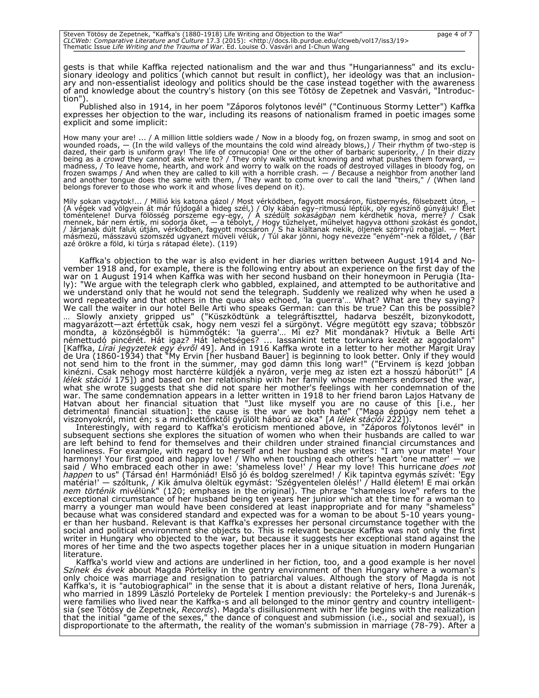| Steven Tötösy de Zepetnek, "Kaffka's (1880-1918) Life Writing and Objection to the War"                                         | page 4 of 7 |
|---------------------------------------------------------------------------------------------------------------------------------|-------------|
| CLCWeb: Comparative Literature and Culture 17.3 (2015): <http: 19="" clcweb="" docs.lib.purdue.edu="" iss3="" vol17=""></http:> |             |
| Thematic Issue Life Writing and the Trauma of War. Ed. Louise O. Vasvári and I-Chun Wang                                        |             |

gests is that while Kaffka rejected nationalism and the war and thus "Hungarianness" and its exclusionary ideology and politics (which cannot but result in conflict), her ideology was that an inclusionary and non-essentialist ideology and politics should be the case instead together with the awareness of and knowledge about the country's history (on this see Tötösy de Zepetnek and Vasvári, "Introduction").

Published also in 1914, in her poem "Záporos folytonos levél" ("Continuous Stormy Letter") Kaffka expresses her objection to the war, including its reasons of nationalism framed in poetic images some explicit and some implicit:

How many your are! ... / A million little soldiers wade / Now in a bloody fog, on frozen swamp, in smog and soot on wounded roads, — (In the wild valleys of the mountains the cold wind already blows,) / Their rhythm of two-step is<br>dazed, their garb is uniform gray! The life of cornucopia! One or the other of barbaric superiority, / In t being as a *crowd* they cannot ask where to? / They only walk without knowing and what pushes them forward, madness, / To leave home, hearth, and work and worry to walk on the roads of destroyed villages in bloody fog, on<br>frozen swamps / And when they are called to kill with a horrible crash. — / Because a neighbor from another and another tongue does the same with them, / They want to come over to call the land "theirs," / (When land belongs forever to those who work it and whose lives depend on it).

Mily sokan vagytok!... / Millió kis katona gázol / Most vérködben, fagyott mocsáron, füstpernyés, fölsebzett úton, – (A végek vad völgyein át már fújdogál a hideg szél,) / Oly kábán egy–ritmusú léptük, oly egyszínő gúnyájuk! Élet<br>töméntelene! Durva fölösség porszeme egy-egy, / A szédült *sokaságban* nem kérdhetik hova, merre? / Csak<br>menn / Járjanak dúlt faluk útján, vérködben, fagyott mocsáron / S ha kiáltanak nekik, öljenek szörnyű robajjal. — Mert másmezű, másszavú szomszéd ugyanezt műveli vélük, / Túl akar jönni, hogy nevezze "enyém"-nek a földet, / (Bár azé örökre a föld, ki túrja s rátapad élete). (119)

Kaffka's objection to the war is also evident in her diaries written between August 1914 and November 1918 and, for example, there is the following entry about an experience on the first day of the war on 1 August 1914 when Kaffka was with her second husband on their honeymoon in Perugia (Italy): "We argue with the telegraph clerk who gabbled, explained, and attempted to be authoritative and we understand only that he would not send the telegraph. Suddenly we realized why when he used a word repeatedly and that others in the queu also echoed, 'la guerra'… What? What are they saying? We call the waiter in our hotel Belle Arti who speaks German: can this be true? Can this be possible? … Slowly anxiety gripped us" ("Küszködtünk a telegráftiszttel, hadarva beszélt, bizonykodott, magyarázott—azt értettük csak, hogy nem veszi fel a sürgönyt. Végre megütött egy szava; többször mondta, a közönségből is hümmögték: 'la guerra'… Mi ez? Mit mondanak? Hívtuk a Belle Arti némettudó pincérét. Hát igaz? Hát lehetséges? ... lassankint tette torkunkra kezét az aggodalom" [Kaffka, *Lírai jegyzetek egy évről* 49]. And in 1916 Kaffka wrote in a letter to her mother Margit Uray de Ura (1860-1934) that "My Ervin [her husband Bauer] is beginning to look better. Only if they would not send him to the front in the summer, may god damn this long war!" ("Ervinem is kezd jobban kinézni. Csak nehogy most harctérre küldjék a nyáron, verje meg az isten ezt a hosszú háborút!" [*A lélek stációi* 175]) and based on her relationship with her family whose members endorsed the war, what she wrote suggests that she did not spare her mother's feelings with her condemnation of the war. The same condemnation appears in a letter written in 1918 to her friend baron Lajos Hatvany de Hatvan about her financial situation that "Just like myself you are no cause of this [i.e., her detrimental financial situation]: the cause is the war we both hate" ("Maga éppúgy nem tehet a viszonyokról, mint én; s a mindkettőnktől gyűlölt háború az oka" [*A lélek stációi* 222]).

Interestingly, with regard to Kaffka's eroticism mentioned above, in "Záporos folytonos levél" in subsequent sections she explores the situation of women who when their husbands are called to war are left behind to fend for themselves and their children under strained financial circumstances and loneliness. For example, with regard to herself and her husband she writes: "I am your mate! Your harmony! Your first good and happy love! / Who when touching each other's heart 'one matter' — we said / Who embraced each other in awe: 'shameless love!' / Hear my love! This hurricane *does not happen* to us" (Társad én! Harmóniád! Első jó és boldog szerelmed! / Kik tapintva egymás szívét: 'Egy matéria!' — szóltunk, / Kik ámulva öleltük egymást: 'Szégyentelen ölelés!' / Halld életem! E mai orkán *nem történik* mivélünk" (120; emphases in the original). The phrase "shameless love" refers to the exceptional circumstance of her husband being ten years her junior which at the time for a woman to marry a younger man would have been considered at least inappropriate and for many "shameless" because what was considered standard and expected was for a woman to be about 5-10 years younger than her husband. Relevant is that Kaffka's expresses her personal circumstance together with the social and political environment she objects to. This is relevant because Kaffka was not only the first writer in Hungary who objected to the war, but because it suggests her exceptional stand against the mores of her time and the two aspects together places her in a unique situation in modern Hungarian literature.

Kaffka's world view and actions are underlined in her fiction, too, and a good example is her novel *Színek és évek* about Magda Pórtelky in the gentry environment of then Hungary where a woman's only choice was marriage and resignation to patriarchal values. Although the story of Magda is not Kaffka's, it is "autobiographical" in the sense that it is about a distant relative of hers, Ilona Jurenák, who married in 1899 László Porteleky de Portelek I mention previously: the Porteleky-s and Jurenák-s were families who lived near the Kaffka-s and all belonged to the minor gentry and country intelligentsia (see Tötösy de Zepetnek, *Records*). Magda's disillusionment with her life begins with the realization that the initial "game of the sexes," the dance of conquest and submission (i.e., social and sexual), is disproportionate to the aftermath, the reality of the woman's submission in marriage (78-79). After a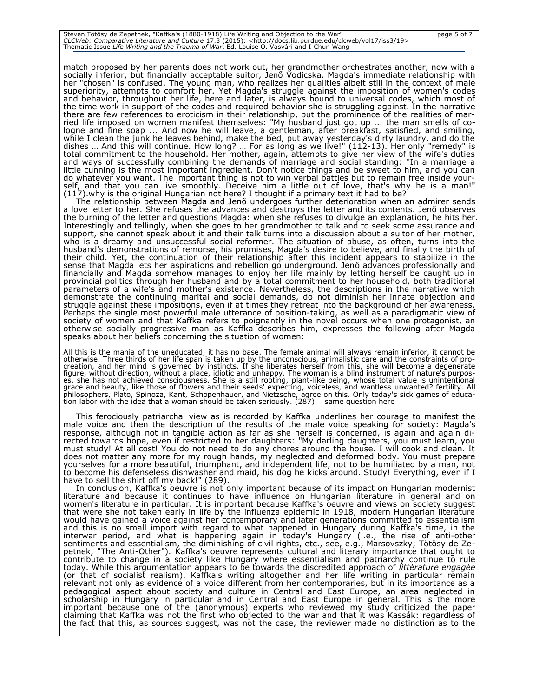| Steven Tötösy de Zepetnek, "Kaffka's (1880-1918) Life Writing and Objection to the War"                                         | page 5 of 7 |
|---------------------------------------------------------------------------------------------------------------------------------|-------------|
| CLCWeb: Comparative Literature and Culture 17.3 (2015): <http: 19="" clcweb="" docs.lib.purdue.edu="" iss3="" vol17=""></http:> |             |
| Thematic Issue <i>Life Writing and the Trauma of War</i> . Ed. Louise O. Vasvári and I-Chun Wang                                |             |

match proposed by her parents does not work out, her grandmother orchestrates another, now with a socially inferior, but financially acceptable suitor, Jenő Vodicska. Magda's immediate relationship with her "chosen" is confused. The young man, who realizes her qualities albeit still in the context of male superiority, attempts to comfort her. Yet Magda's struggle against the imposition of women's codes and behavior, throughout her life, here and later, is always bound to universal codes, which most of the time work in support of the codes and required behavior she is struggling against. In the narrative there are few references to eroticism in their relationship, but the prominence of the realities of married life imposed on women manifest themselves: "My husband just got up ... the man smells of cologne and fine soap ... And now he will leave, a gentleman, after breakfast, satisfied, and smiling, while I clean the junk he leaves behind, make the bed, put away yesterday's dirty laundry, and do the dishes … And this will continue. How long? … For as long as we live!" (112-13). Her only "remedy" is total commitment to the household. Her mother, again, attempts to give her view of the wife's duties and ways of successfully combining the demands of marriage and social standing: "In a marriage a little cunning is the most important ingredient. Don't notice things and be sweet to him, and you can do whatever you want. The important thing is not to win verbal battles but to remain free inside yourself, and that you can live smoothly. Deceive him a little out of love, that's why he is a man!" (117).why is the original Hungarian not here? I thought if a primary text it had to be?

The relationship between Magda and Jenő undergoes further deterioration when an admirer sends a love letter to her. She refuses the advances and destroys the letter and its contents. Jenő observes the burning of the letter and questions Magda: when she refuses to divulge an explanation, he hits her. Interestingly and tellingly, when she goes to her grandmother to talk and to seek some assurance and support, she cannot speak about it and their talk turns into a discussion about a suitor of her mother, who is a dreamy and unsuccessful social reformer. The situation of abuse, as often, turns into the husband's demonstrations of remorse, his promises, Magda's desire to believe, and finally the birth of their child. Yet, the continuation of their relationship after this incident appears to stabilize in the sense that Magda lets her aspirations and rebellion go underground. Jenő advances professionally and financially and Magda somehow manages to enjoy her life mainly by letting herself be caught up in provincial politics through her husband and by a total commitment to her household, both traditional parameters of a wife's and mother's existence. Nevertheless, the descriptions in the narrative which demonstrate the continuing marital and social demands, do not diminish her innate objection and struggle against these impositions, even if at times they retreat into the background of her awareness. Perhaps the single most powerful male utterance of position-taking, as well as a paradigmatic view of society of women and that Kaffka refers to poignantly in the novel occurs when one protagonist, an otherwise socially progressive man as Kaffka describes him, expresses the following after Magda speaks about her beliefs concerning the situation of women:

All this is the mania of the uneducated, it has no base. The female animal will always remain inferior, it cannot be otherwise. Three thirds of her life span is taken up by the unconscious, animalistic care and the constraints of pro-<br>creation, and her mind is governed by instincts. If she liberates herself from this, she will become a d figure, without direction, without a place, idiotic and unhappy. The woman is a blind instrument of nature's purposes, she has not achieved consciousness. She is a still rooting, plant-like being, whose total value is unintentional grace and beauty, like those of flowers and their seeds' expecting, voiceless, and wantless unwanted? fertility. All philosophers, Plato, Spinoza, Kant, Schopenhauer, and Nietzsche, agree on this. Only today's sick games of education labor with the idea that a woman should be taken seriously. (287) same question here

This ferociously patriarchal view as is recorded by Kaffka underlines her courage to manifest the male voice and then the description of the results of the male voice speaking for society: Magda's response, although not in tangible action as far as she herself is concerned, is again and again directed towards hope, even if restricted to her daughters: "My darling daughters, you must learn, you must study! At all cost! You do not need to do any chores around the house. I will cook and clean. It does not matter any more for my rough hands, my neglected and deformed body. You must prepare yourselves for a more beautiful, triumphant, and independent life, not to be humiliated by a man, not to become his defenseless dishwasher and maid, his dog he kicks around. Study! Everything, even if I have to sell the shirt off my back!" (289).

In conclusion, Kaffka's oeuvre is not only important because of its impact on Hungarian modernist literature and because it continues to have influence on Hungarian literature in general and on women's literature in particular. It is important because Kaffka's oeuvre and views on society suggest that were she not taken early in life by the influenza epidemic in 1918, modern Hungarian literature would have gained a voice against her contemporary and later generations committed to essentialism and this is no small import with regard to what happened in Hungary during Kaffka's time, in the interwar period, and what is happening again in today's Hungary (i.e., the rise of anti-other sentiments and essentialism, the diminishing of civil rights, etc., see, e.g., Marsovszky; Tötösy de Zepetnek, "The Anti-Other"). Kaffka's oeuvre represents cultural and literary importance that ought to contribute to change in a society like Hungary where essentialism and patriarchy continue to rule today. While this argumentation appears to be towards the discredited approach of *littérature engagée*  (or that of socialist realism), Kaffka's writing altogether and her life writing in particular remain relevant not only as evidence of a voice different from her contemporaries, but in its importance as a pedagogical aspect about society and culture in Central and East Europe, an area neglected in scholarship in Hungary in particular and in Central and East Europe in general. This is the more important because one of the (anonymous) experts who reviewed my study criticized the paper claiming that Kaffka was not the first who objected to the war and that it was Kassák: regardless of the fact that this, as sources suggest, was not the case, the reviewer made no distinction as to the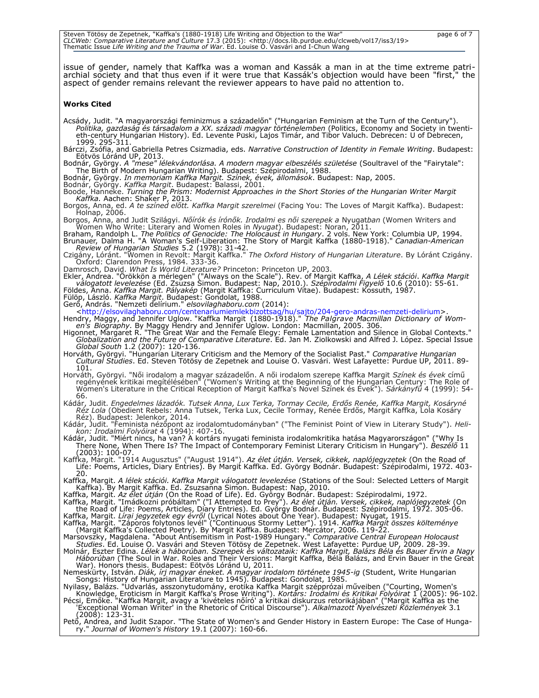Steven Tötösy de Zepetnek, "Kaffka's (1880-1918) Life Writing and Objection to the War"<br>*CLCWeb: Comparative Literature and Culture 17.3* (2015): <http://docs.lib.purdue.edu/clcweb/vol17/iss3/19><br>Thematic Issue *Life Writi* 

issue of gender, namely that Kaffka was a woman and Kassák a man in at the time extreme patriarchial society and that thus even if it were true that Kassak's objection would have been "first," the aspect of gender remains relevant the reviewer appears to have paid no attention to.

#### **Works Cited**

Acsády, Judit. "A magyarországi feminizmus a századelőn" ("Hungarian Feminism at the Turn of the Century"). *Politika, gazdaság és társadalom a XX. századi magyar történelemben* (Politics, Economy and Society in twenti-<br>eth-century Hungarian History). Ed. Levente Püski, Lajos Timár, and Tibor Valuch. Debrecen: U of Debrecen,<br>199

Bárczi, Zsófia, and Gabriella Petres Csizmadia, eds. *Narrative Construction of Identity in Female Writing*. Budapest: Eötvös Lóránd UP, 2013.

Bodnár, György. *A "mese" lélekvándorlása. A modern magyar elbeszélés születése* (Soultravel of the "Fairytale": The Birth of Modern Hungarian Writing). Budapest: Szépirodalmi, 1988. Bodnár, György. *In memoriam Kaffka Margit. Színek, évek, állomások*. Budapest: Nap, 2005.

*Kaffka Margit*. Budapest: Balassi, 2001.

Boode, Hanneke. *Turning the Prism: Modernist Approaches in the Short Stories of the Hungarian Writer Margit Kaffka.* Aachen: Shaker P, 2013.

Borgos, Anna, ed. *A te színed előtt. Kaffka Margit szerelmei* (Facing You: The Loves of Margit Kaffka). Budapest: Holnap, 2006.

Borgos, Anna, and Judit Szilágyi. *Nőírók és írónők. Irodalmi es női szerepek a* Nyugat*ban* (Women Writers and Women Who Write: Literary and Women Roles in *Nyugat*). Budapest: Noran, 2011.

Braham, Randolph L. *The Politics of Genocide: The Holocaust in Hungary*. 2 vols. New York: Columbia UP, 1994.<br>Brunauer, Dalma H. "A Woman's Self-Liberation: The Story of Margit Kaffka (1880-1918)." *Canadian-American Review of Hungarian Studies* 5.2 (1978): 31-42.

Czigány, Lóránt. "Women in Revolt: Margit Kaffka." *The Oxford History of Hungarian Literature*. By Lóránt Czigány. Oxford: Clarendon Press, 1984. 333-36.

Damrosch, David. *What Is World Literature?* Princeton: Princeton UP, 2003.

Ekler, Andrea. "Órökkön a mérlegen" ("Always on the Scale"). Rev. of Margit Kaffka, *A Lélek stációi. Kaffka Margit*<br>. vá*logatott levelezése* (Ed. Zsuzsa Simon. Budapest: Nap, 2010.). *Szépirodalmi Figyelő* 10.6 (2010): 5 Földes, Anna. *Kaffka Margit. Pályakép* (Margit Kaffka: Curriculum Vitae). Budapest: Kossuth, 1987.

Fülöp, László. *Kaffka Margit*. Budapest: Gondolat, 1988.

Gerő, András. "Nemzeti delírium." *elsovilaghaboru.com* (2014):

[<http://elsovilaghaboru.com/centenariumiemlekbizottsag/hu/sajto/204-gero-andras-nemzeti-delirium>](http://elsovilaghaboru.com/centenariumiemlekbizottsag/hu/sajto/204-gero-andras-nemzeti-delirium). Hendry, Maggy, and Jennifer Uglow. "Kaffka Margit (1880-1918)." *The Palgrave Macmillan Dictionary of Women's Biography.* By Maggy Hendry and Jennifer Uglow. London: Macmillan, 2005. 306.

Higonnet, Margaret R. "The Great War and the Female Elegy: Female Lamentation and Silence in Global Contexts." *Globalization and the Future of Comparative Literature*. Ed. Jan M. Ziolkowski and Alfred J. López. Special Issue *Global South* 1.2 (2007): 120-136.

Horváth, Györgyi. "Hungarian Literary Criticism and the Memory of the Socialist Past." *Comparative Hungarian Cultural Studies*. Ed. Steven Tötösy de Zepetnek and Louise O. Vasvári. West Lafayette: Purdue UP, 2011. 89- 101.

Horváth, Györgyi. "Női irodalom a magyar századelőn. A női irodalom szerepe Kaffka Margit *Színek és évek* című regényének kritikai megítélésében" ("Women's Writing at the Beginning of the Hungarian Century: The Role of<br>Women's Literature in the Critical Reception of Margit Kaffka's Novel Színek és Évek"). *Sárkányfű* 4 (1999): 54-66.

Kádár, Judit. *Engedelmes lázadók. Tutsek Anna, Lux Terka, Tormay Cecile, Erdős Renée, Kaffka Margit, Kosáryné Réz Lola* (Obedient Rebels: Anna Tutsek, Terka Lux, Cecile Tormay, Renée Erdős, Margit Kaffka, Lola Kosáry Réz). Budapest: Jelenkor, 2014.

Kádár, Judit. "Feminista nézőpont az irodalomtudományban" ("The Feminist Point of View in Literary Study"). *Helikon: Irodalmi Folyóirat* 4 (1994): 407-16.

Kádár, Judit. "Miért nincs, ha van? A kortárs nyugati feminista irodalomkritika hatása Magyarországon" ("Why Is There None, When There Is? The Impact of Contemporary Feminist Literary Criticism in Hungary"). *Beszélő* 11 (2003): 100-07.

Kaffka, Margit. "1914 Augusztus" ("August 1914"). *Az élet útján. Versek, cikkek, naplójegyzetek* (On the Road of Life: Poems, Articles, Diary Entries). By Margit Kaffka. Ed. György Bodnár. Budapest: Szépirodalmi, 1972. 403- 20.

Kaffka, Margit. *A lélek stációi. Kaffka Margit válogatott levelezése* (Stations of the Soul: Selected Letters of Margit Kaffka). By Margit Kaffka. Ed. Zsuzsanna Simon. Budapest: Nap, 2010.

Kaffka, Margit. *Az élet útján* (On the Road of Life). Ed. György Bodnár. Budapest: Szépirodalmi, 1972.

Kaffka, Margit. "Imádkozni próbáltam" ("I Attempted to Prey"). *Az élet útján. Versek, cikkek, naplójegyzetek* (On the Road of Life: Poems, Articles, Diary Entries). Ed. György Bodnár. Budapest: Szépirodalmi, 1972. 305-06. Kaffka, Margit. *Lírai jegyzetek egy évről* (Lyrical Notes about One Year). Budapest: Nyugat, 1915.

Kaffka, Margit. "Záporos folytonos levél" ("Continuous Stormy Letter"). 1914. *Kaffka Margit összes költeménye*

(Margit Kaffka's Collected Poetry). By Margit Kaffka. Budapest: Mercátor, 2006. 119-22. Marsovszky, Magdalena. "About Antisemitism in Post-1989 Hungary." *Comparative Central European Holocaust Studies*. Ed. Louise O. Vasvári and Steven Tötösy de Zepetnek. West Lafayette: Purdue UP, 2009. 28-39.

Molnár, Eszter Edina. *Lélek a háborúban. Szerepek és változataik: Kaffka Margit, Balázs Béla és Bauer Ervin a Nagy Háborúban* (The Soul in War. Roles and Their Versions: Margit Kaffka, Béla Balázs, and Ervin Bauer in the Great War). Honors thesis. Budapest: Eötvös Lóránd U, 2011.

Nemeskürty, István. *Diák, írj magyar éneket. A magyar irodalom története 1945-ig* (Student, Write Hungarian Songs: History of Hungarian Literature to 1945). Budapest: Gondolat, 1985.

Nyilasy, Balázs. "Udvarlás, asszonytudomány, erotika Kaffka Margit szépprózai műveiben ("Courting, Women's .402-96 Knowledge, Eroticism in Margit Kaffka's Prose Writing"). *Kortárs: Irodalmi és Kritikai Folyóirat* 1 (2005): 96-102<br>Pécsi, Emőke. "Kaffka Margit, avagy a 'kivételes nőíró' a kritikai diskurzus retorikájában" ("Marg

'Exceptional Woman Writer' in the Rhetoric of Critical Discourse"). *Alkalmazott Nyelvészeti Közlemények* 3.1 (2008): 123-31.

Pető, Andrea, and Judit Szapor. "The State of Women's and Gender History in Eastern Europe: The Case of Hungary." *Journal of Women's History* 19.1 (2007): 160-66.